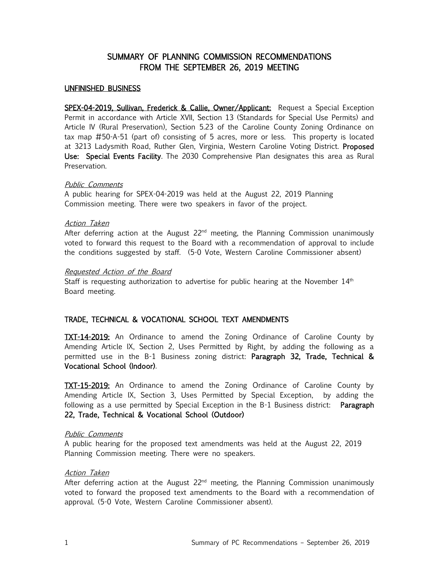# SUMMARY OF PLANNING COMMISSION RECOMMENDATIONS FROM THE SEPTEMBER 26, 2019 MEETING

### UNFINISHED BUSINESS

SPEX-04-2019, Sullivan, Frederick & Callie, Owner/Applicant: Request a Special Exception Permit in accordance with Article XVII, Section 13 (Standards for Special Use Permits) and Article IV (Rural Preservation), Section 5.23 of the Caroline County Zoning Ordinance on tax map #50-A-51 (part of) consisting of 5 acres, more or less. This property is located at 3213 Ladysmith Road, Ruther Glen, Virginia, Western Caroline Voting District. Proposed Use: Special Events Facility. The 2030 Comprehensive Plan designates this area as Rural Preservation.

#### Public Comments

A public hearing for SPEX-04-2019 was held at the August 22, 2019 Planning Commission meeting. There were two speakers in favor of the project.

## Action Taken

After deferring action at the August  $22<sup>nd</sup>$  meeting, the Planning Commission unanimously voted to forward this request to the Board with a recommendation of approval to include the conditions suggested by staff. (5-0 Vote, Western Caroline Commissioner absent)

## Requested Action of the Board

Staff is requesting authorization to advertise for public hearing at the November  $14<sup>th</sup>$ Board meeting.

# TRADE, TECHNICAL & VOCATIONAL SCHOOL TEXT AMENDMENTS

TXT-14-2019: An Ordinance to amend the Zoning Ordinance of Caroline County by Amending Article IX, Section 2, Uses Permitted by Right, by adding the following as a permitted use in the B-1 Business zoning district: Paragraph 32, Trade, Technical & Vocational School (Indoor).

TXT-15-2019: An Ordinance to amend the Zoning Ordinance of Caroline County by Amending Article IX, Section 3, Uses Permitted by Special Exception, by adding the following as a use permitted by Special Exception in the B-1 Business district: **Paragraph** 22, Trade, Technical & Vocational School (Outdoor)

#### Public Comments

A public hearing for the proposed text amendments was held at the August 22, 2019 Planning Commission meeting. There were no speakers.

## Action Taken

After deferring action at the August  $22<sup>nd</sup>$  meeting, the Planning Commission unanimously voted to forward the proposed text amendments to the Board with a recommendation of approval. (5-0 Vote, Western Caroline Commissioner absent).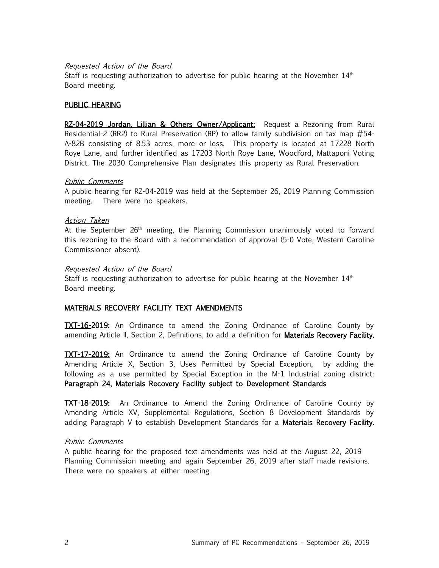#### Requested Action of the Board

Staff is requesting authorization to advertise for public hearing at the November  $14<sup>th</sup>$ Board meeting.

### PUBLIC HEARING

RZ-04-2019 Jordan, Lillian & Others Owner/Applicant: Request a Rezoning from Rural Residential-2 (RR2) to Rural Preservation (RP) to allow family subdivision on tax map #54- A-82B consisting of 8.53 acres, more or less. This property is located at 17228 North Roye Lane, and further identified as 17203 North Roye Lane, Woodford, Mattaponi Voting District. The 2030 Comprehensive Plan designates this property as Rural Preservation.

#### Public Comments

A public hearing for RZ-04-2019 was held at the September 26, 2019 Planning Commission meeting. There were no speakers.

#### Action Taken

At the September  $26<sup>th</sup>$  meeting, the Planning Commission unanimously voted to forward this rezoning to the Board with a recommendation of approval (5-0 Vote, Western Caroline Commissioner absent).

#### Requested Action of the Board

Staff is requesting authorization to advertise for public hearing at the November  $14<sup>th</sup>$ Board meeting.

# MATERIALS RECOVERY FACILITY TEXT AMENDMENTS

**TXT-16-2019:** An Ordinance to amend the Zoning Ordinance of Caroline County by amending Article II, Section 2, Definitions, to add a definition for Materials Recovery Facility.

TXT-17-2019: An Ordinance to amend the Zoning Ordinance of Caroline County by Amending Article X, Section 3, Uses Permitted by Special Exception, by adding the following as a use permitted by Special Exception in the M-1 Industrial zoning district: Paragraph 24, Materials Recovery Facility subject to Development Standards

TXT-18-2019: An Ordinance to Amend the Zoning Ordinance of Caroline County by Amending Article XV, Supplemental Regulations, Section 8 Development Standards by adding Paragraph V to establish Development Standards for a Materials Recovery Facility.

#### Public Comments

A public hearing for the proposed text amendments was held at the August 22, 2019 Planning Commission meeting and again September 26, 2019 after staff made revisions. There were no speakers at either meeting.